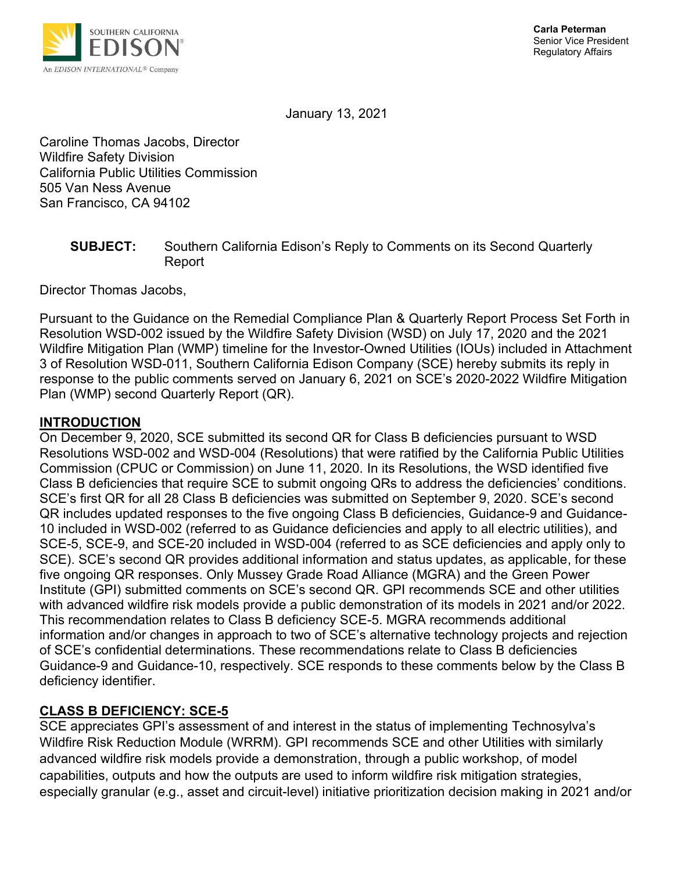

January 13, 2021

Caroline Thomas Jacobs, Director Wildfire Safety Division California Public Utilities Commission 505 Van Ness Avenue San Francisco, CA 94102

#### **SUBJECT:** Southern California Edison's Reply to Comments on its Second Quarterly Report

Director Thomas Jacobs,

Pursuant to the Guidance on the Remedial Compliance Plan & Quarterly Report Process Set Forth in Resolution WSD-002 issued by the Wildfire Safety Division (WSD) on July 17, 2020 and the 2021 Wildfire Mitigation Plan (WMP) timeline for the Investor-Owned Utilities (IOUs) included in Attachment 3 of Resolution WSD-011, Southern California Edison Company (SCE) hereby submits its reply in response to the public comments served on January 6, 2021 on SCE's 2020-2022 Wildfire Mitigation Plan (WMP) second Quarterly Report (QR).

### **INTRODUCTION**

On December 9, 2020, SCE submitted its second QR for Class B deficiencies pursuant to WSD Resolutions WSD-002 and WSD-004 (Resolutions) that were ratified by the California Public Utilities Commission (CPUC or Commission) on June 11, 2020. In its Resolutions, the WSD identified five Class B deficiencies that require SCE to submit ongoing QRs to address the deficiencies' conditions. SCE's first QR for all 28 Class B deficiencies was submitted on September 9, 2020. SCE's second QR includes updated responses to the five ongoing Class B deficiencies, Guidance-9 and Guidance-10 included in WSD-002 (referred to as Guidance deficiencies and apply to all electric utilities), and SCE-5, SCE-9, and SCE-20 included in WSD-004 (referred to as SCE deficiencies and apply only to SCE). SCE's second QR provides additional information and status updates, as applicable, for these five ongoing QR responses. Only Mussey Grade Road Alliance (MGRA) and the Green Power Institute (GPI) submitted comments on SCE's second QR. GPI recommends SCE and other utilities with advanced wildfire risk models provide a public demonstration of its models in 2021 and/or 2022. This recommendation relates to Class B deficiency SCE-5. MGRA recommends additional information and/or changes in approach to two of SCE's alternative technology projects and rejection of SCE's confidential determinations. These recommendations relate to Class B deficiencies Guidance-9 and Guidance-10, respectively. SCE responds to these comments below by the Class B deficiency identifier.

### **CLASS B DEFICIENCY: SCE-5**

SCE appreciates GPI's assessment of and interest in the status of implementing Technosylva's Wildfire Risk Reduction Module (WRRM). GPI recommends SCE and other Utilities with similarly advanced wildfire risk models provide a demonstration, through a public workshop, of model capabilities, outputs and how the outputs are used to inform wildfire risk mitigation strategies, especially granular (e.g., asset and circuit-level) initiative prioritization decision making in 2021 and/or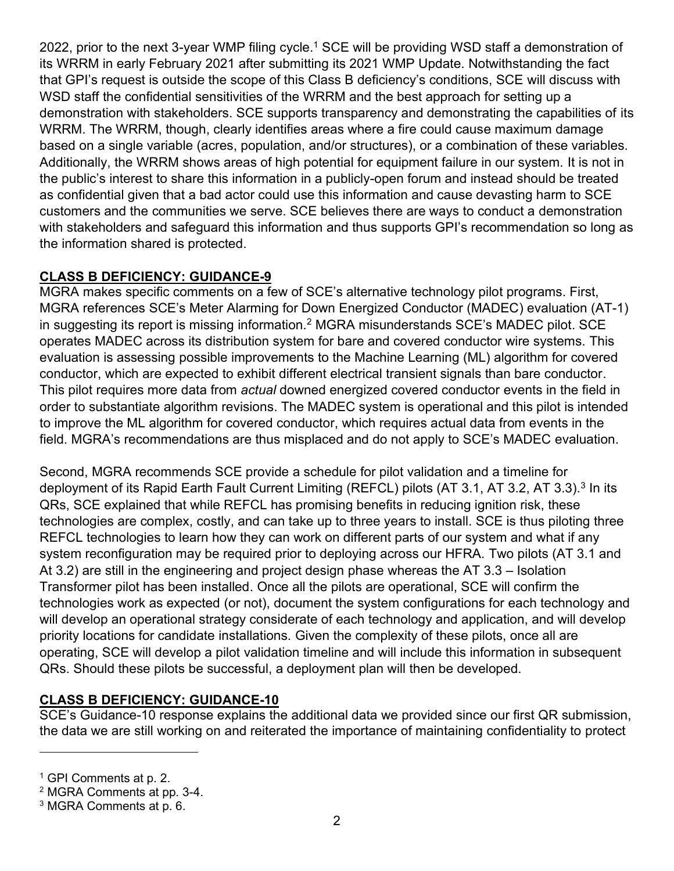2022, prior to the next 3-year WMP filing cycle.<sup>1</sup> SCE will be providing WSD staff a demonstration of its WRRM in early February 2021 after submitting its 2021 WMP Update. Notwithstanding the fact that GPI's request is outside the scope of this Class B deficiency's conditions, SCE will discuss with WSD staff the confidential sensitivities of the WRRM and the best approach for setting up a demonstration with stakeholders. SCE supports transparency and demonstrating the capabilities of its WRRM. The WRRM, though, clearly identifies areas where a fire could cause maximum damage based on a single variable (acres, population, and/or structures), or a combination of these variables. Additionally, the WRRM shows areas of high potential for equipment failure in our system. It is not in the public's interest to share this information in a publicly-open forum and instead should be treated as confidential given that a bad actor could use this information and cause devasting harm to SCE customers and the communities we serve. SCE believes there are ways to conduct a demonstration with stakeholders and safeguard this information and thus supports GPI's recommendation so long as the information shared is protected.

## **CLASS B DEFICIENCY: GUIDANCE-9**

MGRA makes specific comments on a few of SCE's alternative technology pilot programs. First, MGRA references SCE's Meter Alarming for Down Energized Conductor (MADEC) evaluation (AT-1) in suggesting its report is missing information.<sup>2</sup> MGRA misunderstands SCE's MADEC pilot. SCE operates MADEC across its distribution system for bare and covered conductor wire systems. This evaluation is assessing possible improvements to the Machine Learning (ML) algorithm for covered conductor, which are expected to exhibit different electrical transient signals than bare conductor. This pilot requires more data from *actual* downed energized covered conductor events in the field in order to substantiate algorithm revisions. The MADEC system is operational and this pilot is intended to improve the ML algorithm for covered conductor, which requires actual data from events in the field. MGRA's recommendations are thus misplaced and do not apply to SCE's MADEC evaluation.

Second, MGRA recommends SCE provide a schedule for pilot validation and a timeline for deployment of its Rapid Earth Fault Current Limiting (REFCL) pilots (AT 3.1, AT 3.2, AT 3.3).<sup>3</sup> In its QRs, SCE explained that while REFCL has promising benefits in reducing ignition risk, these technologies are complex, costly, and can take up to three years to install. SCE is thus piloting three REFCL technologies to learn how they can work on different parts of our system and what if any system reconfiguration may be required prior to deploying across our HFRA. Two pilots (AT 3.1 and At 3.2) are still in the engineering and project design phase whereas the AT 3.3 – Isolation Transformer pilot has been installed. Once all the pilots are operational, SCE will confirm the technologies work as expected (or not), document the system configurations for each technology and will develop an operational strategy considerate of each technology and application, and will develop priority locations for candidate installations. Given the complexity of these pilots, once all are operating, SCE will develop a pilot validation timeline and will include this information in subsequent QRs. Should these pilots be successful, a deployment plan will then be developed.

# **CLASS B DEFICIENCY: GUIDANCE-10**

SCE's Guidance-10 response explains the additional data we provided since our first QR submission, the data we are still working on and reiterated the importance of maintaining confidentiality to protect

<sup>1</sup> GPI Comments at p. 2.

<sup>2</sup> MGRA Comments at pp. 3-4.

<sup>3</sup> MGRA Comments at p. 6.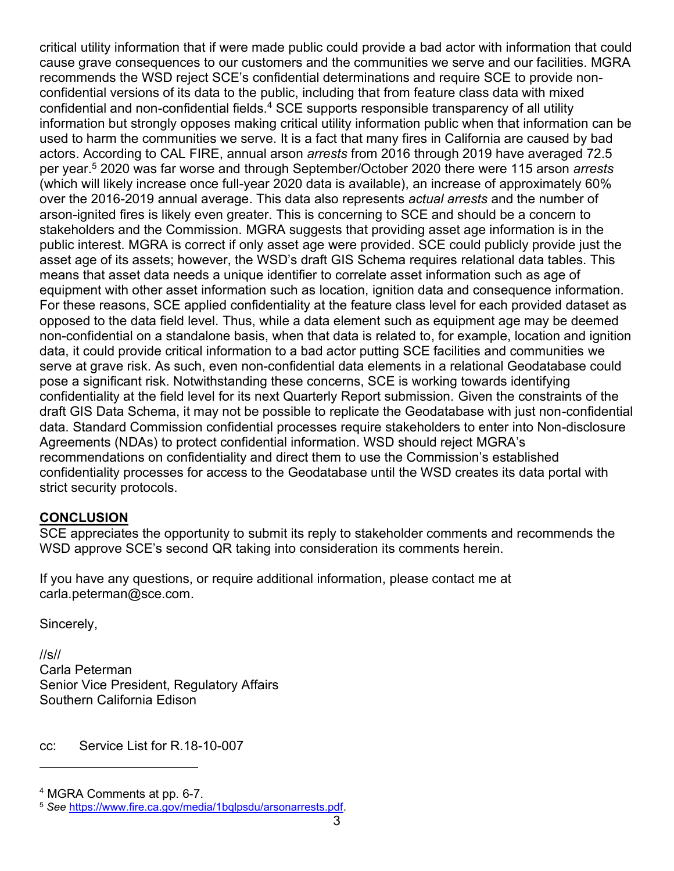critical utility information that if were made public could provide a bad actor with information that could cause grave consequences to our customers and the communities we serve and our facilities. MGRA recommends the WSD reject SCE's confidential determinations and require SCE to provide nonconfidential versions of its data to the public, including that from feature class data with mixed confidential and non-confidential fields.<sup>4</sup> SCE supports responsible transparency of all utility information but strongly opposes making critical utility information public when that information can be used to harm the communities we serve. It is a fact that many fires in California are caused by bad actors. According to CAL FIRE, annual arson *arrests* from 2016 through 2019 have averaged 72.5 per year. <sup>5</sup> 2020 was far worse and through September/October 2020 there were 115 arson *arrests* (which will likely increase once full-year 2020 data is available), an increase of approximately 60% over the 2016-2019 annual average. This data also represents *actual arrests* and the number of arson-ignited fires is likely even greater. This is concerning to SCE and should be a concern to stakeholders and the Commission. MGRA suggests that providing asset age information is in the public interest. MGRA is correct if only asset age were provided. SCE could publicly provide just the asset age of its assets; however, the WSD's draft GIS Schema requires relational data tables. This means that asset data needs a unique identifier to correlate asset information such as age of equipment with other asset information such as location, ignition data and consequence information. For these reasons, SCE applied confidentiality at the feature class level for each provided dataset as opposed to the data field level. Thus, while a data element such as equipment age may be deemed non-confidential on a standalone basis, when that data is related to, for example, location and ignition data, it could provide critical information to a bad actor putting SCE facilities and communities we serve at grave risk. As such, even non-confidential data elements in a relational Geodatabase could pose a significant risk. Notwithstanding these concerns, SCE is working towards identifying confidentiality at the field level for its next Quarterly Report submission. Given the constraints of the draft GIS Data Schema, it may not be possible to replicate the Geodatabase with just non-confidential data. Standard Commission confidential processes require stakeholders to enter into Non-disclosure Agreements (NDAs) to protect confidential information. WSD should reject MGRA's recommendations on confidentiality and direct them to use the Commission's established confidentiality processes for access to the Geodatabase until the WSD creates its data portal with strict security protocols.

### **CONCLUSION**

SCE appreciates the opportunity to submit its reply to stakeholder comments and recommends the WSD approve SCE's second QR taking into consideration its comments herein.

If you have any questions, or require additional information, please contact me at carla.peterman@sce.com.

Sincerely,

//s// Carla Peterman Senior Vice President, Regulatory Affairs Southern California Edison

cc: Service List for R.18-10-007

<sup>4</sup> MGRA Comments at pp. 6-7.

<sup>5</sup> *See* [https://www.fire.ca.gov/media/1bqlpsdu/arsonarrests.pdf.](https://www.fire.ca.gov/media/1bqlpsdu/arsonarrests.pdf)